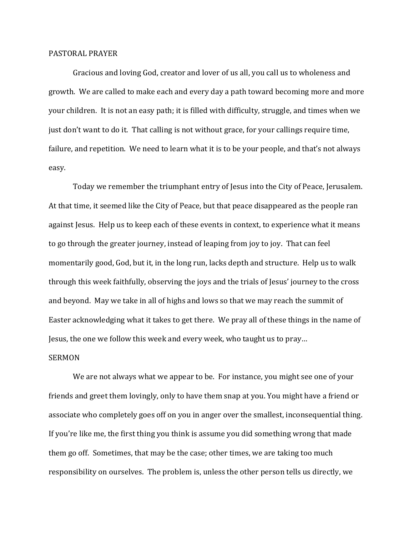## PASTORAL PRAYER

 Gracious and loving God, creator and lover of us all, you call us to wholeness and growth. We are called to make each and every day a path toward becoming more and more your children. It is not an easy path; it is filled with difficulty, struggle, and times when we just don't want to do it. That calling is not without grace, for your callings require time, failure, and repetition. We need to learn what it is to be your people, and that's not always easy.

 Today we remember the triumphant entry of Jesus into the City of Peace, Jerusalem. At that time, it seemed like the City of Peace, but that peace disappeared as the people ran against Jesus. Help us to keep each of these events in context, to experience what it means to go through the greater journey, instead of leaping from joy to joy. That can feel momentarily good, God, but it, in the long run, lacks depth and structure. Help us to walk through this week faithfully, observing the joys and the trials of Jesus' journey to the cross and beyond. May we take in all of highs and lows so that we may reach the summit of Easter acknowledging what it takes to get there. We pray all of these things in the name of Jesus, the one we follow this week and every week, who taught us to pray…

## SERMON

 We are not always what we appear to be. For instance, you might see one of your friends and greet them lovingly, only to have them snap at you. You might have a friend or associate who completely goes off on you in anger over the smallest, inconsequential thing. If you're like me, the first thing you think is assume you did something wrong that made them go off. Sometimes, that may be the case; other times, we are taking too much responsibility on ourselves. The problem is, unless the other person tells us directly, we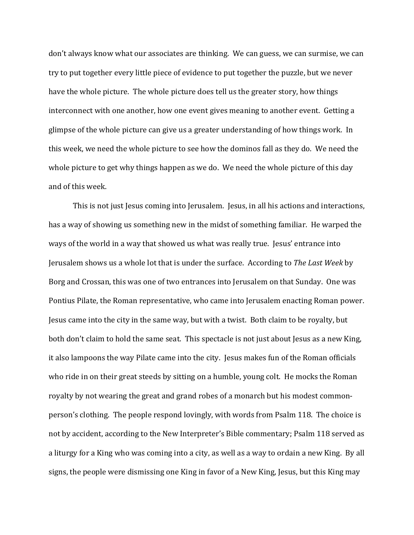don't always know what our associates are thinking. We can guess, we can surmise, we can try to put together every little piece of evidence to put together the puzzle, but we never have the whole picture. The whole picture does tell us the greater story, how things interconnect with one another, how one event gives meaning to another event. Getting a glimpse of the whole picture can give us a greater understanding of how things work. In this week, we need the whole picture to see how the dominos fall as they do. We need the whole picture to get why things happen as we do. We need the whole picture of this day and of this week.

 This is not just Jesus coming into Jerusalem. Jesus, in all his actions and interactions, has a way of showing us something new in the midst of something familiar. He warped the ways of the world in a way that showed us what was really true. Jesus' entrance into Jerusalem shows us a whole lot that is under the surface. According to *The Last Week* by Borg and Crossan, this was one of two entrances into Jerusalem on that Sunday. One was Pontius Pilate, the Roman representative, who came into Jerusalem enacting Roman power. Jesus came into the city in the same way, but with a twist. Both claim to be royalty, but both don't claim to hold the same seat. This spectacle is not just about Jesus as a new King, it also lampoons the way Pilate came into the city. Jesus makes fun of the Roman officials who ride in on their great steeds by sitting on a humble, young colt. He mocks the Roman royalty by not wearing the great and grand robes of a monarch but his modest commonperson's clothing. The people respond lovingly, with words from Psalm 118. The choice is not by accident, according to the New Interpreter's Bible commentary; Psalm 118 served as a liturgy for a King who was coming into a city, as well as a way to ordain a new King. By all signs, the people were dismissing one King in favor of a New King, Jesus, but this King may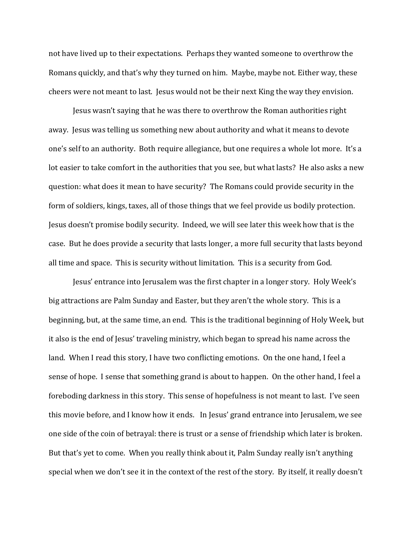not have lived up to their expectations. Perhaps they wanted someone to overthrow the Romans quickly, and that's why they turned on him. Maybe, maybe not. Either way, these cheers were not meant to last. Jesus would not be their next King the way they envision.

 Jesus wasn't saying that he was there to overthrow the Roman authorities right away. Jesus was telling us something new about authority and what it means to devote one's self to an authority. Both require allegiance, but one requires a whole lot more. It's a lot easier to take comfort in the authorities that you see, but what lasts? He also asks a new question: what does it mean to have security? The Romans could provide security in the form of soldiers, kings, taxes, all of those things that we feel provide us bodily protection. Jesus doesn't promise bodily security. Indeed, we will see later this week how that is the case. But he does provide a security that lasts longer, a more full security that lasts beyond all time and space. This is security without limitation. This is a security from God.

 Jesus' entrance into Jerusalem was the first chapter in a longer story. Holy Week's big attractions are Palm Sunday and Easter, but they aren't the whole story. This is a beginning, but, at the same time, an end. This is the traditional beginning of Holy Week, but it also is the end of Jesus' traveling ministry, which began to spread his name across the land. When I read this story, I have two conflicting emotions. On the one hand, I feel a sense of hope. I sense that something grand is about to happen. On the other hand, I feel a foreboding darkness in this story. This sense of hopefulness is not meant to last. I've seen this movie before, and I know how it ends. In Jesus' grand entrance into Jerusalem, we see one side of the coin of betrayal: there is trust or a sense of friendship which later is broken. But that's yet to come. When you really think about it, Palm Sunday really isn't anything special when we don't see it in the context of the rest of the story. By itself, it really doesn't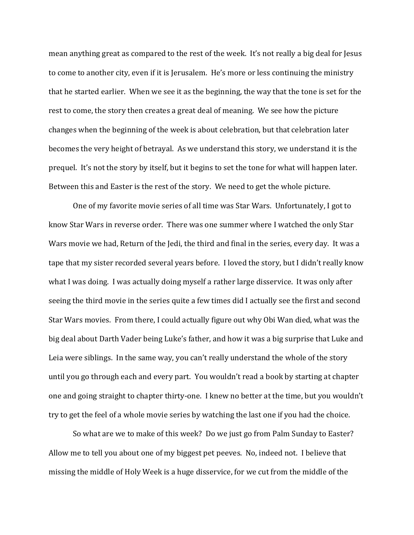mean anything great as compared to the rest of the week. It's not really a big deal for Jesus to come to another city, even if it is Jerusalem. He's more or less continuing the ministry that he started earlier. When we see it as the beginning, the way that the tone is set for the rest to come, the story then creates a great deal of meaning. We see how the picture changes when the beginning of the week is about celebration, but that celebration later becomes the very height of betrayal. As we understand this story, we understand it is the prequel. It's not the story by itself, but it begins to set the tone for what will happen later. Between this and Easter is the rest of the story. We need to get the whole picture.

 One of my favorite movie series of all time was Star Wars. Unfortunately, I got to know Star Wars in reverse order. There was one summer where I watched the only Star Wars movie we had, Return of the Jedi, the third and final in the series, every day. It was a tape that my sister recorded several years before. I loved the story, but I didn't really know what I was doing. I was actually doing myself a rather large disservice. It was only after seeing the third movie in the series quite a few times did I actually see the first and second Star Wars movies. From there, I could actually figure out why Obi Wan died, what was the big deal about Darth Vader being Luke's father, and how it was a big surprise that Luke and Leia were siblings. In the same way, you can't really understand the whole of the story until you go through each and every part. You wouldn't read a book by starting at chapter one and going straight to chapter thirty-one. I knew no better at the time, but you wouldn't try to get the feel of a whole movie series by watching the last one if you had the choice.

So what are we to make of this week? Do we just go from Palm Sunday to Easter? Allow me to tell you about one of my biggest pet peeves. No, indeed not. I believe that missing the middle of Holy Week is a huge disservice, for we cut from the middle of the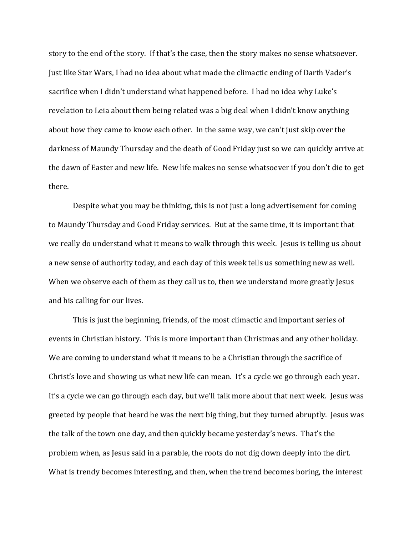story to the end of the story. If that's the case, then the story makes no sense whatsoever. Just like Star Wars, I had no idea about what made the climactic ending of Darth Vader's sacrifice when I didn't understand what happened before. I had no idea why Luke's revelation to Leia about them being related was a big deal when I didn't know anything about how they came to know each other. In the same way, we can't just skip over the darkness of Maundy Thursday and the death of Good Friday just so we can quickly arrive at the dawn of Easter and new life. New life makes no sense whatsoever if you don't die to get there.

Despite what you may be thinking, this is not just a long advertisement for coming to Maundy Thursday and Good Friday services. But at the same time, it is important that we really do understand what it means to walk through this week. Jesus is telling us about a new sense of authority today, and each day of this week tells us something new as well. When we observe each of them as they call us to, then we understand more greatly Jesus and his calling for our lives.

This is just the beginning, friends, of the most climactic and important series of events in Christian history. This is more important than Christmas and any other holiday. We are coming to understand what it means to be a Christian through the sacrifice of Christ's love and showing us what new life can mean. It's a cycle we go through each year. It's a cycle we can go through each day, but we'll talk more about that next week. Jesus was greeted by people that heard he was the next big thing, but they turned abruptly. Jesus was the talk of the town one day, and then quickly became yesterday's news. That's the problem when, as Jesus said in a parable, the roots do not dig down deeply into the dirt. What is trendy becomes interesting, and then, when the trend becomes boring, the interest